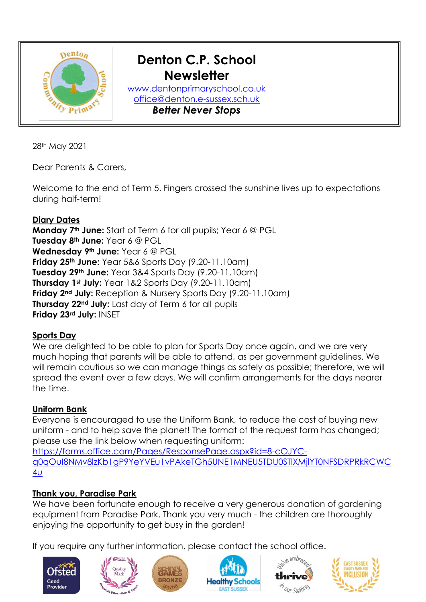

28th May 2021

Dear Parents & Carers,

Welcome to the end of Term 5. Fingers crossed the sunshine lives up to expectations during half-term!

## **Diary Dates**

**Monday 7th June:** Start of Term 6 for all pupils; Year 6 @ PGL **Tuesday 8th June:** Year 6 @ PGL **Wednesday 9th June:** Year 6 @ PGL **Friday 25th June:** Year 5&6 Sports Day (9.20-11.10am) **Tuesday 29th June:** Year 3&4 Sports Day (9.20-11.10am) **Thursday 1st July:** Year 1&2 Sports Day (9.20-11.10am) **Friday 2nd July:** Reception & Nursery Sports Day (9.20-11.10am) **Thursday 22nd July:** Last day of Term 6 for all pupils **Friday 23rd July:** INSET

## **Sports Day**

We are delighted to be able to plan for Sports Day once again, and we are very much hoping that parents will be able to attend, as per government guidelines. We will remain cautious so we can manage things as safely as possible; therefore, we will spread the event over a few days. We will confirm arrangements for the days nearer the time.

## **Uniform Bank**

Everyone is encouraged to use the Uniform Bank, to reduce the cost of buying new uniform - and to help save the planet! The format of the request form has changed; please use the link below when requesting uniform:

[https://forms.office.com/Pages/ResponsePage.aspx?id=8-cOJYC](https://forms.office.com/Pages/ResponsePage.aspx?id=8-cOJYC-q0qOuI8NMv8lzKb1gP9YeYVEu1vPAkeTGh5UNE1MNEU5TDU0STlXMjlYT0NFSDRPRkRCWC4u)[q0qOuI8NMv8lzKb1gP9YeYVEu1vPAkeTGh5UNE1MNEU5TDU0STlXMjlYT0NFSDRPRkRCWC](https://forms.office.com/Pages/ResponsePage.aspx?id=8-cOJYC-q0qOuI8NMv8lzKb1gP9YeYVEu1vPAkeTGh5UNE1MNEU5TDU0STlXMjlYT0NFSDRPRkRCWC4u) [4u](https://forms.office.com/Pages/ResponsePage.aspx?id=8-cOJYC-q0qOuI8NMv8lzKb1gP9YeYVEu1vPAkeTGh5UNE1MNEU5TDU0STlXMjlYT0NFSDRPRkRCWC4u)

## **Thank you, Paradise Park**

We have been fortunate enough to receive a very generous donation of gardening equipment from Paradise Park. Thank you very much - the children are thoroughly enjoying the opportunity to get busy in the garden!

If you require any further information, please contact the school office.